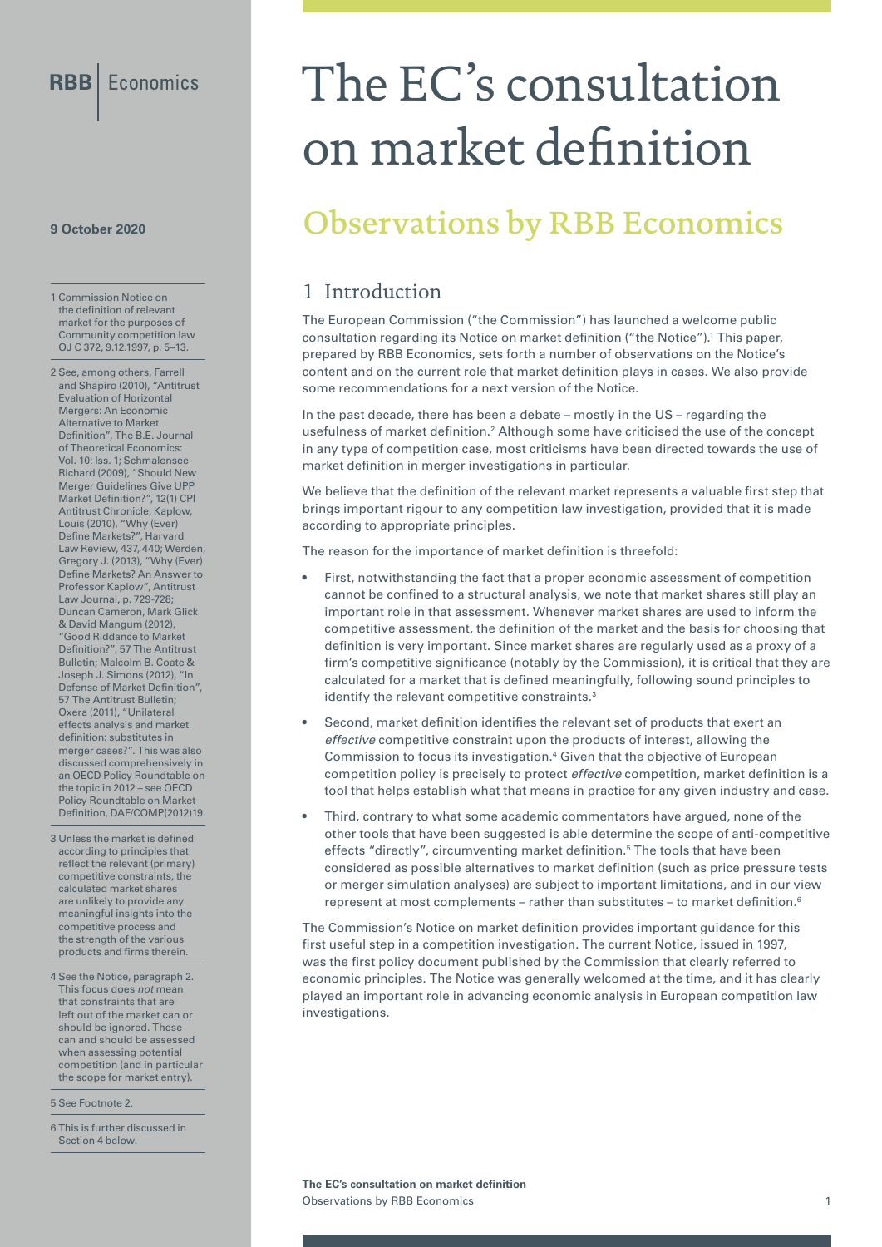#### **9 October 2020**

1 Commission Notice on the definition of relevant market for the purposes of Community competition law OJ C 372, 9.12.1997, p. 5–13.

2 See, among others, Farrell and Shapiro (2010), "Antitrust Evaluation of Horizontal Mergers: An Economic Alternative to Market Definition", The B.E. Journal of Theoretical Economics: Vol. 10: Iss. 1; Schmalensee Richard (2009), "Should New Merger Guidelines Give UPP Market Definition?", 12(1) CPI Antitrust Chronicle; Kaplow, Louis (2010), "Why (Ever) Define Markets?", Harvard Law Review, 437, 440; Werden, Gregory J. (2013), "Why (Ever) Define Markets? An Answer to Professor Kaplow", Antitrust Law Journal, p. 729-728; Duncan Cameron, Mark Glick & David Mangum (2012), "Good Riddance to Market Definition?", 57 The Antitrust Bulletin; Malcolm B. Coate & Joseph J. Simons (2012), "In Defense of Market Definition", 57 The Antitrust Bulletin; Oxera (2011), "Unilateral effects analysis and market definition: substitutes in merger cases?". This was also discussed comprehensively in an OECD Policy Roundtable on the topic in 2012 – see OECD Policy Roundtable on Market Definition, DAF/COMP(2012)19.

- 3 Unless the market is defined according to principles that reflect the relevant (primary) competitive constraints, the calculated market shares are unlikely to provide any meaningful insights into the competitive process and the strength of the various products and firms therein.
- 4 See the Notice, paragraph 2. This focus does *not* mean that constraints that are left out of the market can or should be ignored. These can and should be assessed when assessing potential competition (and in particular the scope for market entry).

5 See Footnote 2.

6 This is further discussed in Section 4 below.

# The EC's consultation on market definition

## Observations by RBB Economics

#### 1 Introduction

The European Commission ("the Commission") has launched a welcome public consultation regarding its Notice on market definition ("the Notice").1 This paper, prepared by RBB Economics, sets forth a number of observations on the Notice's content and on the current role that market definition plays in cases. We also provide some recommendations for a next version of the Notice.

In the past decade, there has been a debate – mostly in the US – regarding the usefulness of market definition.<sup>2</sup> Although some have criticised the use of the concept in any type of competition case, most criticisms have been directed towards the use of market definition in merger investigations in particular.

We believe that the definition of the relevant market represents a valuable first step that brings important rigour to any competition law investigation, provided that it is made according to appropriate principles.

The reason for the importance of market definition is threefold:

- First, notwithstanding the fact that a proper economic assessment of competition cannot be confined to a structural analysis, we note that market shares still play an important role in that assessment. Whenever market shares are used to inform the competitive assessment, the definition of the market and the basis for choosing that definition is very important. Since market shares are regularly used as a proxy of a firm's competitive significance (notably by the Commission), it is critical that they are calculated for a market that is defined meaningfully, following sound principles to identify the relevant competitive constraints.<sup>3</sup>
- Second, market definition identifies the relevant set of products that exert an *effective* competitive constraint upon the products of interest, allowing the Commission to focus its investigation.<sup>4</sup> Given that the objective of European competition policy is precisely to protect *effective* competition, market definition is a tool that helps establish what that means in practice for any given industry and case.
- Third, contrary to what some academic commentators have argued, none of the other tools that have been suggested is able determine the scope of anti-competitive effects "directly", circumventing market definition.<sup>5</sup> The tools that have been considered as possible alternatives to market definition (such as price pressure tests or merger simulation analyses) are subject to important limitations, and in our view represent at most complements – rather than substitutes – to market definition.<sup>6</sup>

The Commission's Notice on market definition provides important guidance for this first useful step in a competition investigation. The current Notice, issued in 1997, was the first policy document published by the Commission that clearly referred to economic principles. The Notice was generally welcomed at the time, and it has clearly played an important role in advancing economic analysis in European competition law investigations.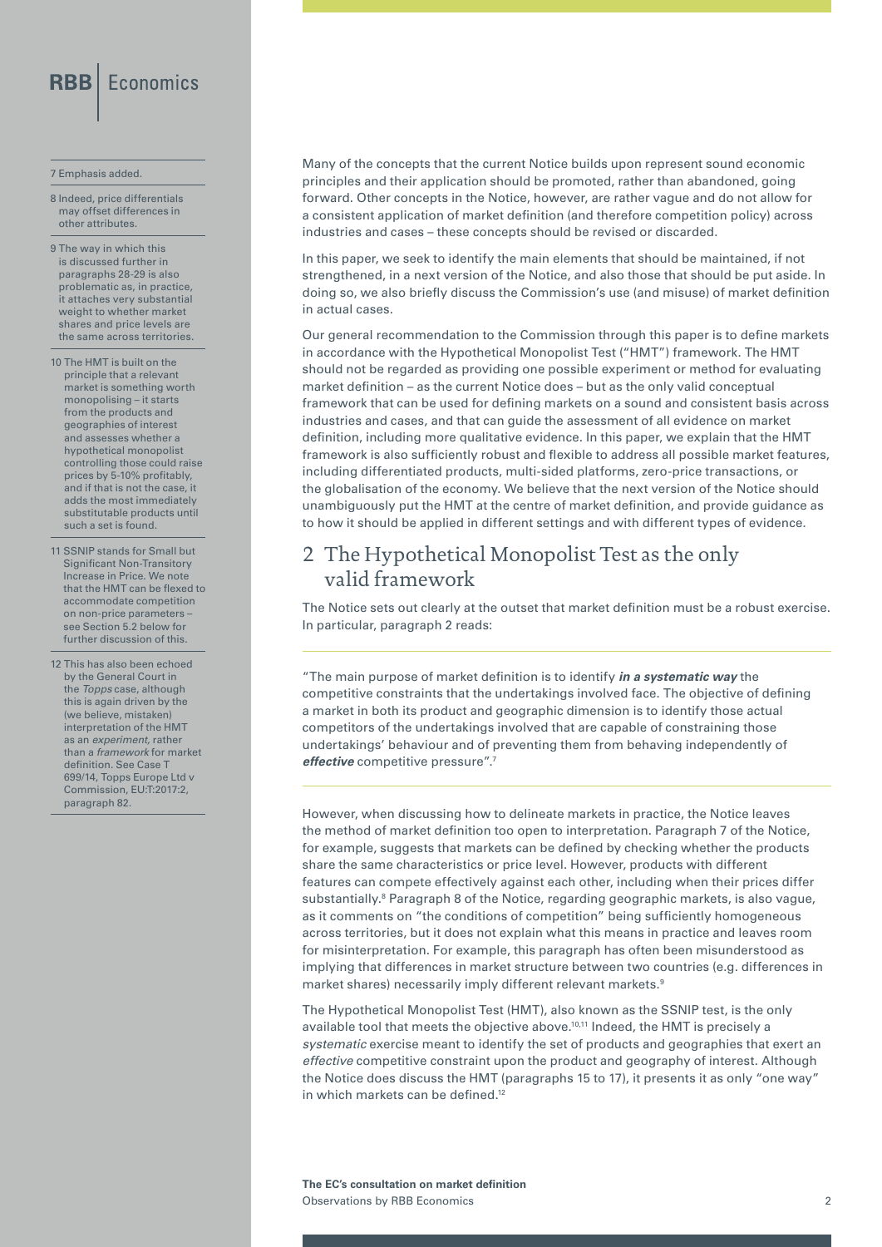#### 7 Emphasis added.

8 Indeed, price differentials may offset differences in other attributes.

9 The way in which this is discussed further in paragraphs 28-29 is also problematic as, in practice, it attaches very substantial weight to whether market shares and price levels are the same across territories.

- 10 The HMT is built on the principle that a relevant market is something worth monopolising – it starts from the products and geographies of interest and assesses whether a hypothetical monopolist controlling those could raise prices by 5-10% profitably, and if that is not the case, it adds the most immediately substitutable products until such a set is found.
- 11 SSNIP stands for Small but Significant Non-Transitory Increase in Price. We note that the HMT can be flexed to accommodate competition on non-price parameters – see Section 5.2 below for further discussion of this.
- 12 This has also been echoed by the General Court in the *Topps* case, although this is again driven by the (we believe, mistaken) interpretation of the HMT as an *experiment,* rather than a *framework* for market definition. See Case T 699/14, Topps Europe Ltd v Commission, EU:T:2017:2, paragraph 82.

Many of the concepts that the current Notice builds upon represent sound economic principles and their application should be promoted, rather than abandoned, going forward. Other concepts in the Notice, however, are rather vague and do not allow for a consistent application of market definition (and therefore competition policy) across industries and cases – these concepts should be revised or discarded.

In this paper, we seek to identify the main elements that should be maintained, if not strengthened, in a next version of the Notice, and also those that should be put aside. In doing so, we also briefly discuss the Commission's use (and misuse) of market definition in actual cases.

Our general recommendation to the Commission through this paper is to define markets in accordance with the Hypothetical Monopolist Test ("HMT") framework. The HMT should not be regarded as providing one possible experiment or method for evaluating market definition – as the current Notice does – but as the only valid conceptual framework that can be used for defining markets on a sound and consistent basis across industries and cases, and that can guide the assessment of all evidence on market definition, including more qualitative evidence. In this paper, we explain that the HMT framework is also sufficiently robust and flexible to address all possible market features, including differentiated products, multi-sided platforms, zero-price transactions, or the globalisation of the economy. We believe that the next version of the Notice should unambiguously put the HMT at the centre of market definition, and provide guidance as to how it should be applied in different settings and with different types of evidence.

#### 2 The Hypothetical Monopolist Test as the only valid framework

The Notice sets out clearly at the outset that market definition must be a robust exercise. In particular, paragraph 2 reads:

"The main purpose of market definition is to identify *in a systematic way* the competitive constraints that the undertakings involved face. The objective of defining a market in both its product and geographic dimension is to identify those actual competitors of the undertakings involved that are capable of constraining those undertakings' behaviour and of preventing them from behaving independently of *effective* competitive pressure".7

However, when discussing how to delineate markets in practice, the Notice leaves the method of market definition too open to interpretation. Paragraph 7 of the Notice, for example, suggests that markets can be defined by checking whether the products share the same characteristics or price level. However, products with different features can compete effectively against each other, including when their prices differ substantially.<sup>8</sup> Paragraph 8 of the Notice, regarding geographic markets, is also vague, as it comments on "the conditions of competition" being sufficiently homogeneous across territories, but it does not explain what this means in practice and leaves room for misinterpretation. For example, this paragraph has often been misunderstood as implying that differences in market structure between two countries (e.g. differences in market shares) necessarily imply different relevant markets.<sup>9</sup>

The Hypothetical Monopolist Test (HMT), also known as the SSNIP test, is the only available tool that meets the objective above.<sup>10,11</sup> Indeed, the HMT is precisely a *systematic* exercise meant to identify the set of products and geographies that exert an *effective* competitive constraint upon the product and geography of interest. Although the Notice does discuss the HMT (paragraphs 15 to 17), it presents it as only "one way" in which markets can be defined<sup>12</sup>

**The EC's consultation on market definition**  Observations by RBB Economics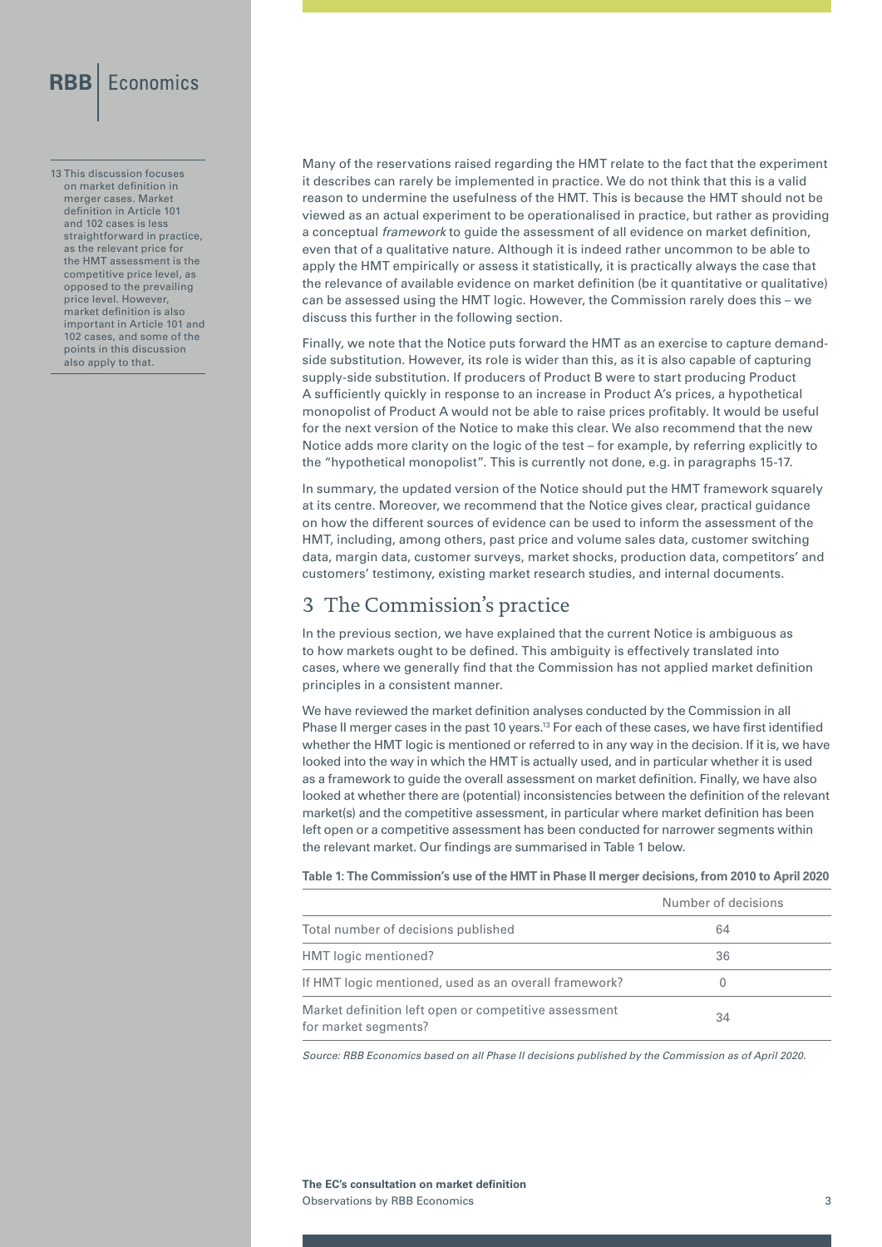13 This discussion focuses on market definition in merger cases. Market definition in Article 101 and 102 cases is less straightforward in practice, as the relevant price for the HMT assessment is the competitive price level, as opposed to the prevailing price level. However, market definition is also important in Article 101 and 102 cases, and some of the points in this discussion also apply to that.

Many of the reservations raised regarding the HMT relate to the fact that the experiment it describes can rarely be implemented in practice. We do not think that this is a valid reason to undermine the usefulness of the HMT. This is because the HMT should not be viewed as an actual experiment to be operationalised in practice, but rather as providing a conceptual *framework* to guide the assessment of all evidence on market definition, even that of a qualitative nature. Although it is indeed rather uncommon to be able to apply the HMT empirically or assess it statistically, it is practically always the case that the relevance of available evidence on market definition (be it quantitative or qualitative) can be assessed using the HMT logic. However, the Commission rarely does this – we discuss this further in the following section.

Finally, we note that the Notice puts forward the HMT as an exercise to capture demandside substitution. However, its role is wider than this, as it is also capable of capturing supply-side substitution. If producers of Product B were to start producing Product A sufficiently quickly in response to an increase in Product A's prices, a hypothetical monopolist of Product A would not be able to raise prices profitably. It would be useful for the next version of the Notice to make this clear. We also recommend that the new Notice adds more clarity on the logic of the test – for example, by referring explicitly to the "hypothetical monopolist". This is currently not done, e.g. in paragraphs 15-17.

In summary, the updated version of the Notice should put the HMT framework squarely at its centre. Moreover, we recommend that the Notice gives clear, practical guidance on how the different sources of evidence can be used to inform the assessment of the HMT, including, among others, past price and volume sales data, customer switching data, margin data, customer surveys, market shocks, production data, competitors' and customers' testimony, existing market research studies, and internal documents.

#### 3 The Commission's practice

In the previous section, we have explained that the current Notice is ambiguous as to how markets ought to be defined. This ambiguity is effectively translated into cases, where we generally find that the Commission has not applied market definition principles in a consistent manner.

We have reviewed the market definition analyses conducted by the Commission in all Phase II merger cases in the past 10 years.<sup>13</sup> For each of these cases, we have first identified whether the HMT logic is mentioned or referred to in any way in the decision. If it is, we have looked into the way in which the HMT is actually used, and in particular whether it is used as a framework to guide the overall assessment on market definition. Finally, we have also looked at whether there are (potential) inconsistencies between the definition of the relevant market(s) and the competitive assessment, in particular where market definition has been left open or a competitive assessment has been conducted for narrower segments within the relevant market. Our findings are summarised in Table 1 below.

**Table 1: The Commission's use of the HMT in Phase II merger decisions, from 2010 to April 2020**

|                                                                               | Number of decisions |
|-------------------------------------------------------------------------------|---------------------|
| Total number of decisions published                                           | 64                  |
| HMT logic mentioned?                                                          | 36                  |
| If HMT logic mentioned, used as an overall framework?                         |                     |
| Market definition left open or competitive assessment<br>for market segments? | 34                  |

*Source: RBB Economics based on all Phase II decisions published by the Commission as of April 2020.*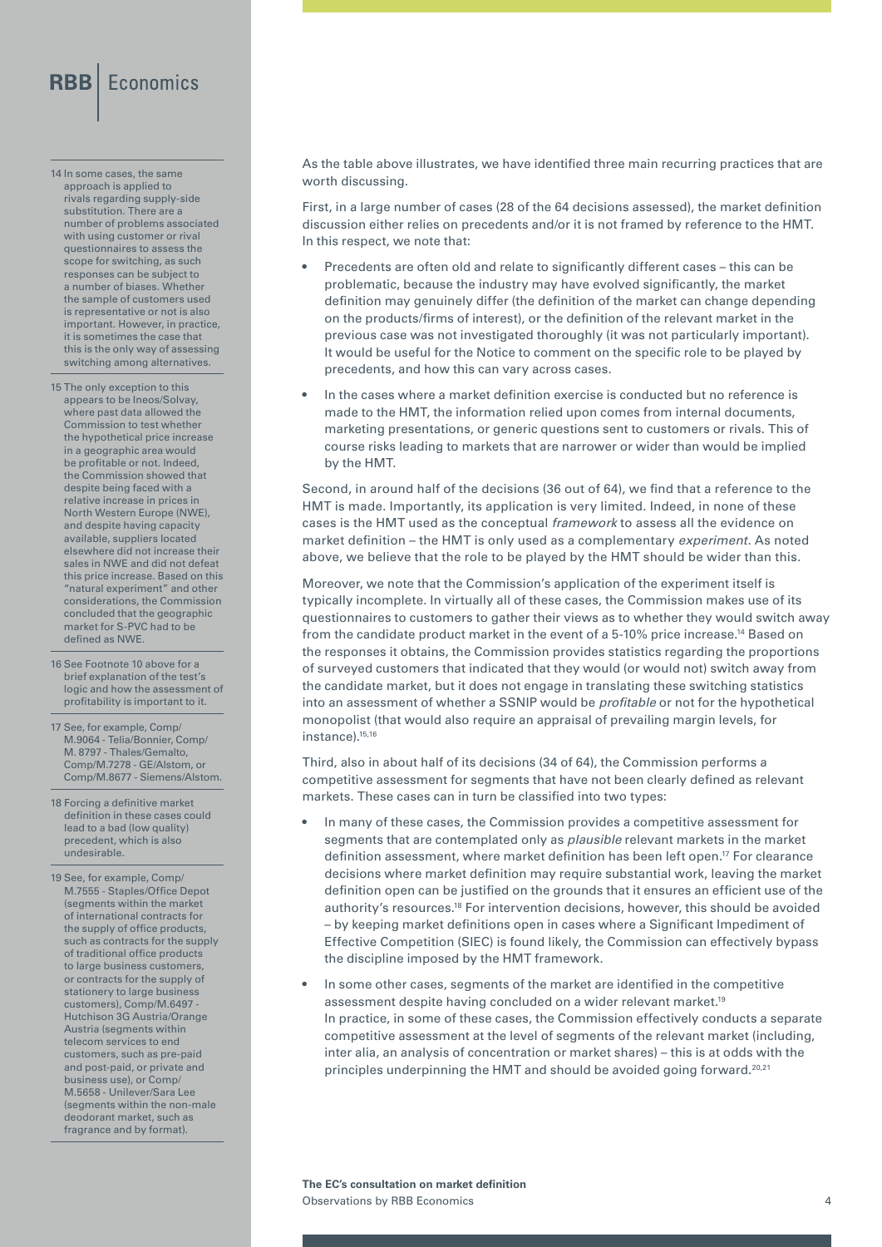14 In some cases, the same approach is applied to rivals regarding supply-side substitution. There are a number of problems associated with using customer or rival questionnaires to assess the scope for switching, as such responses can be subject to a number of biases. Whether the sample of customers used is representative or not is also important. However, in practice, it is sometimes the case that this is the only way of assessing switching among alternatives.

15 The only exception to this appears to be Ineos/Solvay, where past data allowed the Commission to test whether the hypothetical price increase in a geographic area would be profitable or not. Indeed, the Commission showed that despite being faced with a relative increase in prices in North Western Europe (NWE), and despite having capacity available, suppliers located elsewhere did not increase their sales in NWE and did not defeat this price increase. Based on this "natural experiment" and other considerations, the Commission concluded that the geographic market for S-PVC had to be defined as NWE.

- 16 See Footnote 10 above for a brief explanation of the test's logic and how the assessment of profitability is important to it.
- 17 See, for example, Comp/ M.9064 - Telia/Bonnier, Comp/ M. 8797 - Thales/Gemalto, Comp/M.7278 - GE/Alstom, or Comp/M.8677 - Siemens/Alstom.

18 Forcing a definitive market definition in these cases could lead to a bad (low quality) precedent, which is also undesirable.

19 See, for example, Comp/ M.7555 - Staples/Office Depot (segments within the market of international contracts for the supply of office products, such as contracts for the supply of traditional office products to large business customers, or contracts for the supply of stationery to large business customers), Comp/M.6497 - Hutchison 3G Austria/Orange Austria (segments within telecom services to end customers, such as pre-paid and post-paid, or private and business use), or Comp/ M.5658 - Unilever/Sara Lee (segments within the non-male deodorant market, such as fragrance and by format).

As the table above illustrates, we have identified three main recurring practices that are worth discussing.

First, in a large number of cases (28 of the 64 decisions assessed), the market definition discussion either relies on precedents and/or it is not framed by reference to the HMT. In this respect, we note that:

- Precedents are often old and relate to significantly different cases this can be problematic, because the industry may have evolved significantly, the market definition may genuinely differ (the definition of the market can change depending on the products/firms of interest), or the definition of the relevant market in the previous case was not investigated thoroughly (it was not particularly important). It would be useful for the Notice to comment on the specific role to be played by precedents, and how this can vary across cases.
- In the cases where a market definition exercise is conducted but no reference is made to the HMT, the information relied upon comes from internal documents, marketing presentations, or generic questions sent to customers or rivals. This of course risks leading to markets that are narrower or wider than would be implied by the HMT.

Second, in around half of the decisions (36 out of 64), we find that a reference to the HMT is made. Importantly, its application is very limited. Indeed, in none of these cases is the HMT used as the conceptual *framework* to assess all the evidence on market definition – the HMT is only used as a complementary *experiment*. As noted above, we believe that the role to be played by the HMT should be wider than this.

Moreover, we note that the Commission's application of the experiment itself is typically incomplete. In virtually all of these cases, the Commission makes use of its questionnaires to customers to gather their views as to whether they would switch away from the candidate product market in the event of a 5-10% price increase.14 Based on the responses it obtains, the Commission provides statistics regarding the proportions of surveyed customers that indicated that they would (or would not) switch away from the candidate market, but it does not engage in translating these switching statistics into an assessment of whether a SSNIP would be *profitable* or not for the hypothetical monopolist (that would also require an appraisal of prevailing margin levels, for instance).15,16

Third, also in about half of its decisions (34 of 64), the Commission performs a competitive assessment for segments that have not been clearly defined as relevant markets. These cases can in turn be classified into two types:

- In many of these cases, the Commission provides a competitive assessment for segments that are contemplated only as *plausible* relevant markets in the market definition assessment, where market definition has been left open.17 For clearance decisions where market definition may require substantial work, leaving the market definition open can be justified on the grounds that it ensures an efficient use of the authority's resources.18 For intervention decisions, however, this should be avoided – by keeping market definitions open in cases where a Significant Impediment of Effective Competition (SIEC) is found likely, the Commission can effectively bypass the discipline imposed by the HMT framework.
- In some other cases, segments of the market are identified in the competitive assessment despite having concluded on a wider relevant market.19 In practice, in some of these cases, the Commission effectively conducts a separate competitive assessment at the level of segments of the relevant market (including, inter alia, an analysis of concentration or market shares) – this is at odds with the principles underpinning the HMT and should be avoided going forward.<sup>20,21</sup>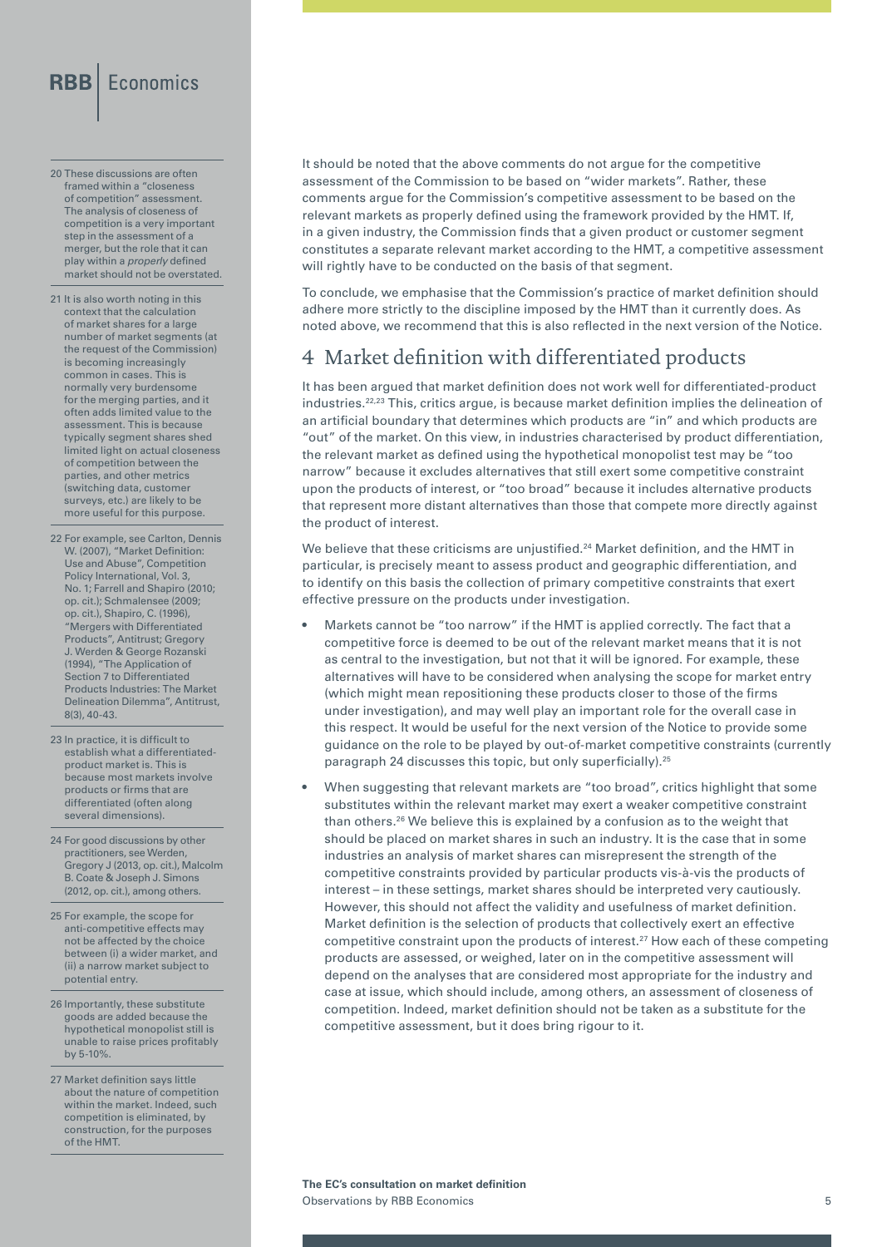- 20 These discussions are often framed within a "closeness of competition" assessment. The analysis of closeness of competition is a very important step in the assessment of a merger, but the role that it can play within a *properly* defined market should not be overstated.
- 21 It is also worth noting in this context that the calculation of market shares for a large number of market segments (at the request of the Commission) is becoming increasingly common in cases. This is normally very burdensome for the merging parties, and it often adds limited value to the assessment. This is because typically segment shares shed limited light on actual closeness of competition between the parties, and other metrics (switching data, customer surveys, etc.) are likely to be more useful for this purpose.
- 22 For example, see Carlton, Dennis W. (2007), "Market Definition: Use and Abuse", Competition Policy International, Vol. 3, No. 1; Farrell and Shapiro (2010; op. cit.); Schmalensee (2009; op. cit.), Shapiro, C. (1996), "Mergers with Differentiated Products", Antitrust; Gregory J. Werden & George Rozanski (1994), "The Application of Section 7 to Differentiated Products Industries: The Market Delineation Dilemma", Antitrust, 8(3), 40-43.
- 23 In practice, it is difficult to establish what a differentiatedproduct market is. This is because most markets involve products or firms that are differentiated (often along several dimensions).
- 24 For good discussions by other practitioners, see Werden, Gregory J (2013, op. cit.), Malcolm B. Coate & Joseph J. Simons (2012, op. cit.), among others.
- 25 For example, the scope for anti-competitive effects may not be affected by the choice between (i) a wider market, and (ii) a narrow market subject to potential entry.
- 26 Importantly, these substitute goods are added because the hypothetical monopolist still is unable to raise prices profitably by 5-10%.
- 27 Market definition says little about the nature of competition within the market. Indeed, such competition is eliminated, by construction, for the purposes of the HMT.

It should be noted that the above comments do not argue for the competitive assessment of the Commission to be based on "wider markets". Rather, these comments argue for the Commission's competitive assessment to be based on the relevant markets as properly defined using the framework provided by the HMT. If, in a given industry, the Commission finds that a given product or customer segment constitutes a separate relevant market according to the HMT, a competitive assessment will rightly have to be conducted on the basis of that segment.

To conclude, we emphasise that the Commission's practice of market definition should adhere more strictly to the discipline imposed by the HMT than it currently does. As noted above, we recommend that this is also reflected in the next version of the Notice.

#### 4 Market definition with differentiated products

It has been argued that market definition does not work well for differentiated-product industries.22,23 This, critics argue, is because market definition implies the delineation of an artificial boundary that determines which products are "in" and which products are "out" of the market. On this view, in industries characterised by product differentiation, the relevant market as defined using the hypothetical monopolist test may be "too narrow" because it excludes alternatives that still exert some competitive constraint upon the products of interest, or "too broad" because it includes alternative products that represent more distant alternatives than those that compete more directly against the product of interest.

We believe that these criticisms are unjustified.<sup>24</sup> Market definition, and the HMT in particular, is precisely meant to assess product and geographic differentiation, and to identify on this basis the collection of primary competitive constraints that exert effective pressure on the products under investigation.

- Markets cannot be "too narrow" if the HMT is applied correctly. The fact that a competitive force is deemed to be out of the relevant market means that it is not as central to the investigation, but not that it will be ignored. For example, these alternatives will have to be considered when analysing the scope for market entry (which might mean repositioning these products closer to those of the firms under investigation), and may well play an important role for the overall case in this respect. It would be useful for the next version of the Notice to provide some guidance on the role to be played by out-of-market competitive constraints (currently paragraph 24 discusses this topic, but only superficially).25
- When suggesting that relevant markets are "too broad", critics highlight that some substitutes within the relevant market may exert a weaker competitive constraint than others.26 We believe this is explained by a confusion as to the weight that should be placed on market shares in such an industry. It is the case that in some industries an analysis of market shares can misrepresent the strength of the competitive constraints provided by particular products vis-à-vis the products of interest – in these settings, market shares should be interpreted very cautiously. However, this should not affect the validity and usefulness of market definition. Market definition is the selection of products that collectively exert an effective competitive constraint upon the products of interest.27 How each of these competing products are assessed, or weighed, later on in the competitive assessment will depend on the analyses that are considered most appropriate for the industry and case at issue, which should include, among others, an assessment of closeness of competition. Indeed, market definition should not be taken as a substitute for the competitive assessment, but it does bring rigour to it.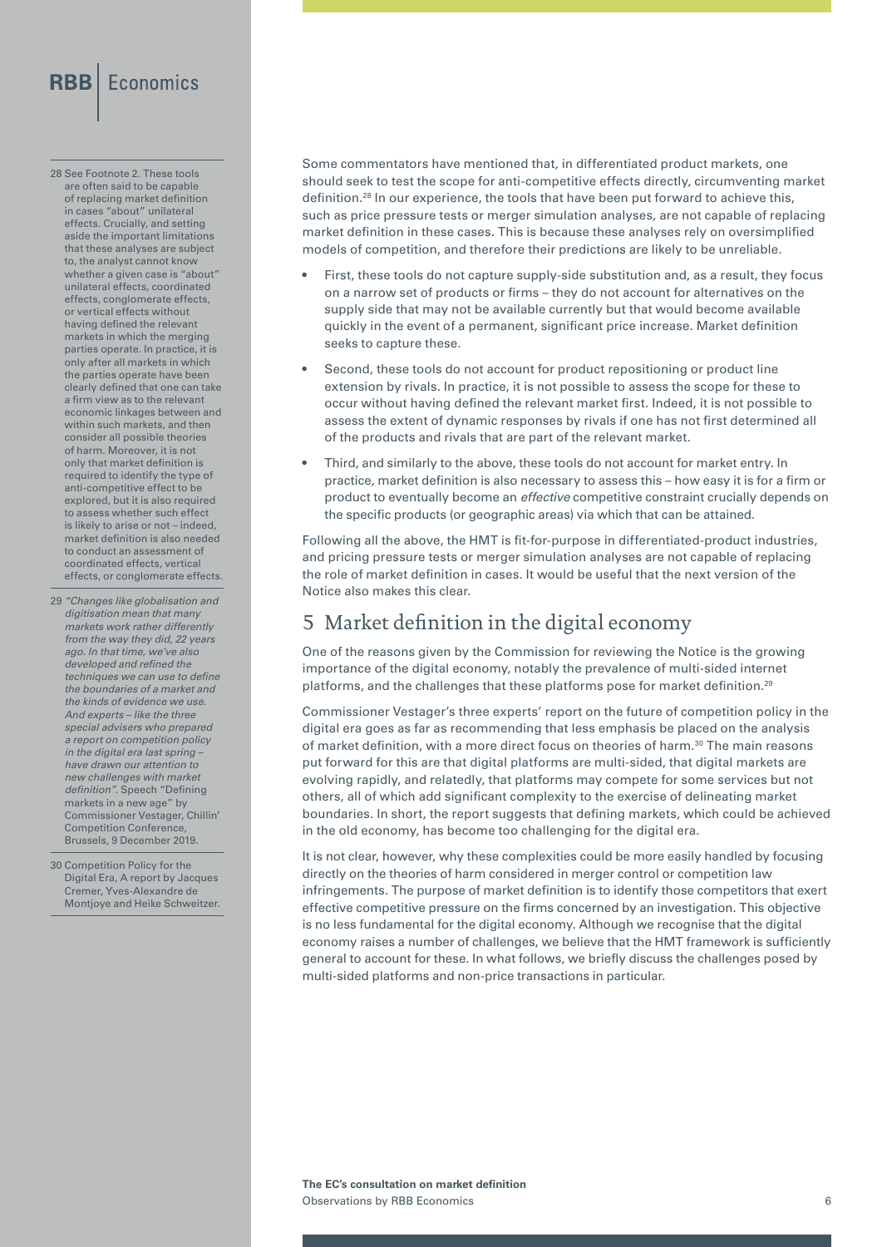28 See Footnote 2. These tools are often said to be capable of replacing market definition in cases "about" unilateral effects. Crucially, and setting aside the important limitations that these analyses are subject to, the analyst cannot know whether a given case is "about" unilateral effects, coordinated effects, conglomerate effects, or vertical effects without having defined the relevant markets in which the merging parties operate. In practice, it is only after all markets in which the parties operate have been clearly defined that one can take a firm view as to the relevant economic linkages between and within such markets, and then consider all possible theories of harm. Moreover, it is not only that market definition is required to identify the type of anti-competitive effect to be explored, but it is also required to assess whether such effect is likely to arise or not – indeed, market definition is also needed to conduct an assessment of coordinated effects, vertical effects, or conglomerate effects.

29 *"Changes like globalisation and digitisation mean that many markets work rather differently from the way they did, 22 years ago. In that time, we've also developed and refined the techniques we can use to define the boundaries of a market and the kinds of evidence we use. And experts – like the three special advisers who prepared a report on competition policy in the digital era last spring – have drawn our attention to new challenges with market definition".* Speech "Defining markets in a new age" by Commissioner Vestager, Chillin' Competition Conference, Brussels, 9 December 2019.

30 Competition Policy for the Digital Era, A report by Jacques Cremer, Yves-Alexandre de Montjoye and Heike Schweitzer. Some commentators have mentioned that, in differentiated product markets, one should seek to test the scope for anti-competitive effects directly, circumventing market definition.28 In our experience, the tools that have been put forward to achieve this, such as price pressure tests or merger simulation analyses, are not capable of replacing market definition in these cases. This is because these analyses rely on oversimplified models of competition, and therefore their predictions are likely to be unreliable.

- First, these tools do not capture supply-side substitution and, as a result, they focus on a narrow set of products or firms – they do not account for alternatives on the supply side that may not be available currently but that would become available quickly in the event of a permanent, significant price increase. Market definition seeks to capture these.
- Second, these tools do not account for product repositioning or product line extension by rivals. In practice, it is not possible to assess the scope for these to occur without having defined the relevant market first. Indeed, it is not possible to assess the extent of dynamic responses by rivals if one has not first determined all of the products and rivals that are part of the relevant market.
- Third, and similarly to the above, these tools do not account for market entry. In practice, market definition is also necessary to assess this – how easy it is for a firm or product to eventually become an *effective* competitive constraint crucially depends on the specific products (or geographic areas) via which that can be attained.

Following all the above, the HMT is fit-for-purpose in differentiated-product industries, and pricing pressure tests or merger simulation analyses are not capable of replacing the role of market definition in cases. It would be useful that the next version of the Notice also makes this clear.

#### 5 Market definition in the digital economy

One of the reasons given by the Commission for reviewing the Notice is the growing importance of the digital economy, notably the prevalence of multi-sided internet platforms, and the challenges that these platforms pose for market definition.<sup>29</sup>

Commissioner Vestager's three experts' report on the future of competition policy in the digital era goes as far as recommending that less emphasis be placed on the analysis of market definition, with a more direct focus on theories of harm.<sup>30</sup> The main reasons put forward for this are that digital platforms are multi-sided, that digital markets are evolving rapidly, and relatedly, that platforms may compete for some services but not others, all of which add significant complexity to the exercise of delineating market boundaries. In short, the report suggests that defining markets, which could be achieved in the old economy, has become too challenging for the digital era.

It is not clear, however, why these complexities could be more easily handled by focusing directly on the theories of harm considered in merger control or competition law infringements. The purpose of market definition is to identify those competitors that exert effective competitive pressure on the firms concerned by an investigation. This objective is no less fundamental for the digital economy. Although we recognise that the digital economy raises a number of challenges, we believe that the HMT framework is sufficiently general to account for these. In what follows, we briefly discuss the challenges posed by multi-sided platforms and non-price transactions in particular.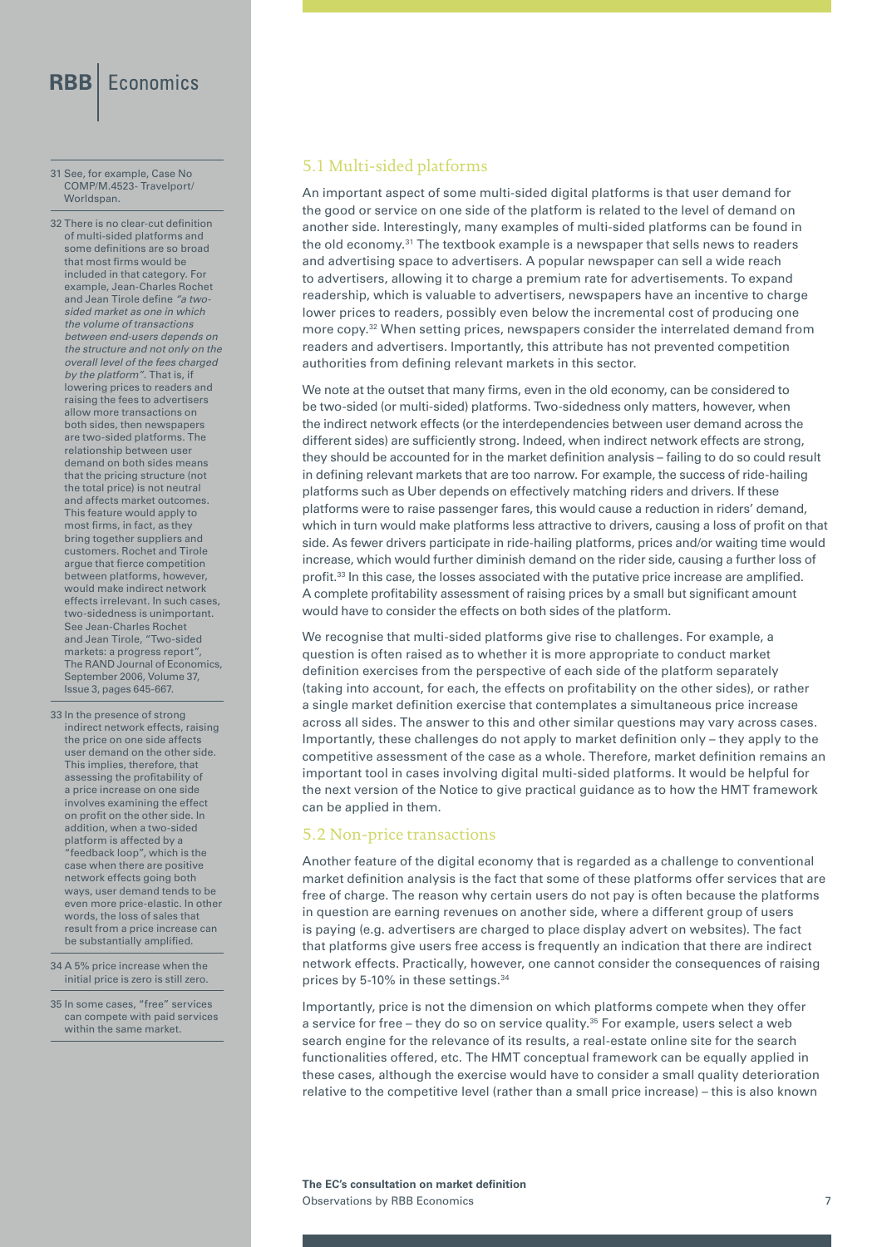#### 31 See, for example, Case No COMP/M.4523- Travelport/ Worldspan.

32 There is no clear-cut definition of multi-sided platforms and some definitions are so broad that most firms would be included in that category. For example, Jean-Charles Rochet and Jean Tirole define *"a twosided market as one in which the volume of transactions between end-users depends on the structure and not only on the overall level of the fees charged by the platform"*. That is, if lowering prices to readers and raising the fees to advertisers allow more transactions on both sides, then newspapers are two-sided platforms. The relationship between user demand on both sides means that the pricing structure (not the total price) is not neutral and affects market outcomes. This feature would apply to most firms, in fact, as they bring together suppliers and customers. Rochet and Tirole argue that fierce competition between platforms, however, would make indirect network effects irrelevant. In such cases, two-sidedness is unimportant. See Jean-Charles Rochet and Jean Tirole, "Two-sided markets: a progress report", The RAND Journal of Economics, September 2006, Volume 37, Issue 3, pages 645-667.

- 33 In the presence of strong indirect network effects, raising the price on one side affects user demand on the other side. This implies, therefore, that assessing the profitability of a price increase on one side involves examining the effect on profit on the other side. In addition, when a two-sided platform is affected by a "feedback loop", which is the case when there are positive network effects going both ways, user demand tends to be even more price-elastic. In other words, the loss of sales that result from a price increase can be substantially amplified.
- 34 A 5% price increase when the initial price is zero is still zero.

35 In some cases, "free" services can compete with paid services within the same market.

#### 5.1 Multi-sided platforms

An important aspect of some multi-sided digital platforms is that user demand for the good or service on one side of the platform is related to the level of demand on another side. Interestingly, many examples of multi-sided platforms can be found in the old economy.31 The textbook example is a newspaper that sells news to readers and advertising space to advertisers. A popular newspaper can sell a wide reach to advertisers, allowing it to charge a premium rate for advertisements. To expand readership, which is valuable to advertisers, newspapers have an incentive to charge lower prices to readers, possibly even below the incremental cost of producing one more copy.<sup>32</sup> When setting prices, newspapers consider the interrelated demand from readers and advertisers. Importantly, this attribute has not prevented competition authorities from defining relevant markets in this sector.

We note at the outset that many firms, even in the old economy, can be considered to be two-sided (or multi-sided) platforms. Two-sidedness only matters, however, when the indirect network effects (or the interdependencies between user demand across the different sides) are sufficiently strong. Indeed, when indirect network effects are strong, they should be accounted for in the market definition analysis – failing to do so could result in defining relevant markets that are too narrow. For example, the success of ride-hailing platforms such as Uber depends on effectively matching riders and drivers. If these platforms were to raise passenger fares, this would cause a reduction in riders' demand, which in turn would make platforms less attractive to drivers, causing a loss of profit on that side. As fewer drivers participate in ride-hailing platforms, prices and/or waiting time would increase, which would further diminish demand on the rider side, causing a further loss of profit.33 In this case, the losses associated with the putative price increase are amplified. A complete profitability assessment of raising prices by a small but significant amount would have to consider the effects on both sides of the platform.

We recognise that multi-sided platforms give rise to challenges. For example, a question is often raised as to whether it is more appropriate to conduct market definition exercises from the perspective of each side of the platform separately (taking into account, for each, the effects on profitability on the other sides), or rather a single market definition exercise that contemplates a simultaneous price increase across all sides. The answer to this and other similar questions may vary across cases. Importantly, these challenges do not apply to market definition only – they apply to the competitive assessment of the case as a whole. Therefore, market definition remains an important tool in cases involving digital multi-sided platforms. It would be helpful for the next version of the Notice to give practical guidance as to how the HMT framework can be applied in them.

#### 5.2 Non-price transactions

Another feature of the digital economy that is regarded as a challenge to conventional market definition analysis is the fact that some of these platforms offer services that are free of charge. The reason why certain users do not pay is often because the platforms in question are earning revenues on another side, where a different group of users is paying (e.g. advertisers are charged to place display advert on websites). The fact that platforms give users free access is frequently an indication that there are indirect network effects. Practically, however, one cannot consider the consequences of raising prices by 5-10% in these settings.<sup>34</sup>

Importantly, price is not the dimension on which platforms compete when they offer a service for free – they do so on service quality. $35$  For example, users select a web search engine for the relevance of its results, a real-estate online site for the search functionalities offered, etc. The HMT conceptual framework can be equally applied in these cases, although the exercise would have to consider a small quality deterioration relative to the competitive level (rather than a small price increase) – this is also known